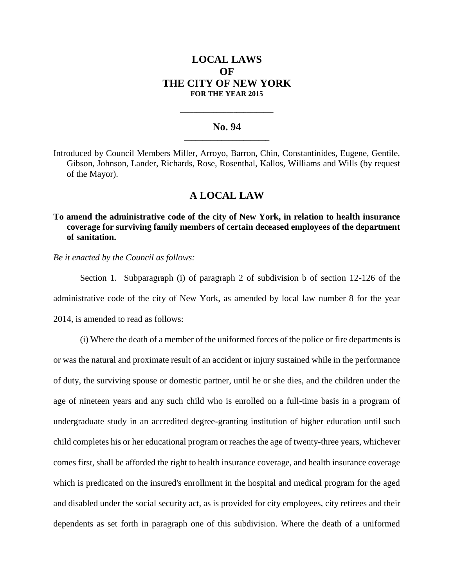# **LOCAL LAWS OF THE CITY OF NEW YORK FOR THE YEAR 2015**

## **No. 94 \_\_\_\_\_\_\_\_\_\_\_\_\_\_\_\_\_\_\_\_\_\_\_**

**\_\_\_\_\_\_\_\_\_\_\_\_\_\_\_\_\_\_\_\_\_\_\_\_\_\_\_\_**

Introduced by Council Members Miller, Arroyo, Barron, Chin, Constantinides, Eugene, Gentile, Gibson, Johnson, Lander, Richards, Rose, Rosenthal, Kallos, Williams and Wills (by request of the Mayor).

### **A LOCAL LAW**

**To amend the administrative code of the city of New York, in relation to health insurance coverage for surviving family members of certain deceased employees of the department of sanitation.**

*Be it enacted by the Council as follows:*

Section 1. Subparagraph (i) of paragraph 2 of subdivision b of section 12-126 of the administrative code of the city of New York, as amended by local law number 8 for the year 2014, is amended to read as follows:

(i) Where the death of a member of the uniformed forces of the police or fire departments is or was the natural and proximate result of an accident or injury sustained while in the performance of duty, the surviving spouse or domestic partner, until he or she dies, and the children under the age of nineteen years and any such child who is enrolled on a full-time basis in a program of undergraduate study in an accredited degree-granting institution of higher education until such child completes his or her educational program or reaches the age of twenty-three years, whichever comes first, shall be afforded the right to health insurance coverage, and health insurance coverage which is predicated on the insured's enrollment in the hospital and medical program for the aged and disabled under the social security act, as is provided for city employees, city retirees and their dependents as set forth in paragraph one of this subdivision. Where the death of a uniformed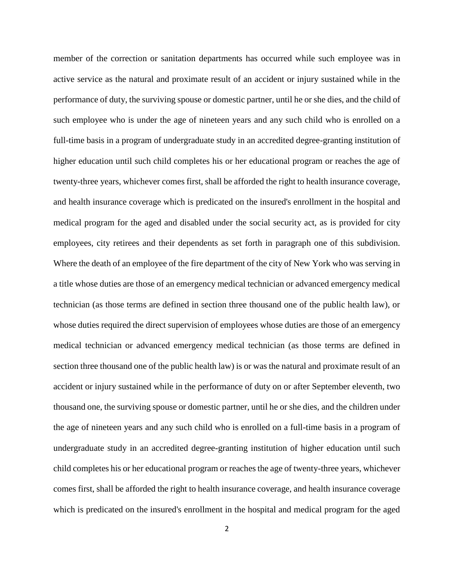member of the correction or sanitation departments has occurred while such employee was in active service as the natural and proximate result of an accident or injury sustained while in the performance of duty, the surviving spouse or domestic partner, until he or she dies, and the child of such employee who is under the age of nineteen years and any such child who is enrolled on a full-time basis in a program of undergraduate study in an accredited degree-granting institution of higher education until such child completes his or her educational program or reaches the age of twenty-three years, whichever comes first, shall be afforded the right to health insurance coverage, and health insurance coverage which is predicated on the insured's enrollment in the hospital and medical program for the aged and disabled under the social security act, as is provided for city employees, city retirees and their dependents as set forth in paragraph one of this subdivision. Where the death of an employee of the fire department of the city of New York who was serving in a title whose duties are those of an emergency medical technician or advanced emergency medical technician (as those terms are defined in section three thousand one of the public health law), or whose duties required the direct supervision of employees whose duties are those of an emergency medical technician or advanced emergency medical technician (as those terms are defined in section three thousand one of the public health law) is or was the natural and proximate result of an accident or injury sustained while in the performance of duty on or after September eleventh, two thousand one, the surviving spouse or domestic partner, until he or she dies, and the children under the age of nineteen years and any such child who is enrolled on a full-time basis in a program of undergraduate study in an accredited degree-granting institution of higher education until such child completes his or her educational program or reaches the age of twenty-three years, whichever comes first, shall be afforded the right to health insurance coverage, and health insurance coverage which is predicated on the insured's enrollment in the hospital and medical program for the aged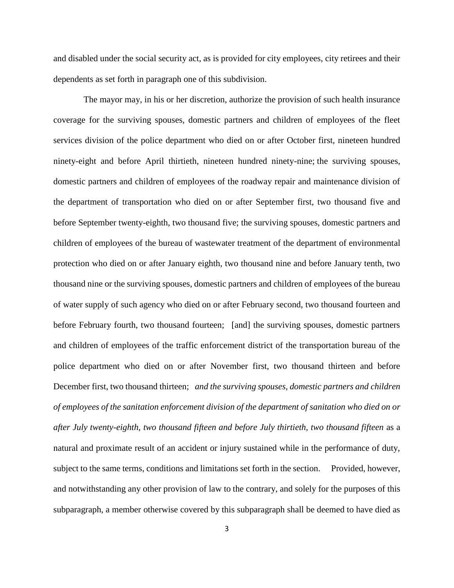and disabled under the social security act, as is provided for city employees, city retirees and their dependents as set forth in paragraph one of this subdivision.

The mayor may, in his or her discretion, authorize the provision of such health insurance coverage for the surviving spouses, domestic partners and children of employees of the fleet services division of the police department who died on or after October first, nineteen hundred ninety-eight and before April thirtieth, nineteen hundred ninety-nine; the surviving spouses, domestic partners and children of employees of the roadway repair and maintenance division of the department of transportation who died on or after September first, two thousand five and before September twenty-eighth, two thousand five; the surviving spouses, domestic partners and children of employees of the bureau of wastewater treatment of the department of environmental protection who died on or after January eighth, two thousand nine and before January tenth, two thousand nine or the surviving spouses, domestic partners and children of employees of the bureau of water supply of such agency who died on or after February second, two thousand fourteen and before February fourth, two thousand fourteen; [and] the surviving spouses, domestic partners and children of employees of the traffic enforcement district of the transportation bureau of the police department who died on or after November first, two thousand thirteen and before December first, two thousand thirteen; *and the surviving spouses, domestic partners and children of employees of the sanitation enforcement division of the department of sanitation who died on or after July twenty-eighth, two thousand fifteen and before July thirtieth, two thousand fifteen* as a natural and proximate result of an accident or injury sustained while in the performance of duty, subject to the same terms, conditions and limitations set forth in the section. Provided, however, and notwithstanding any other provision of law to the contrary, and solely for the purposes of this subparagraph, a member otherwise covered by this subparagraph shall be deemed to have died as